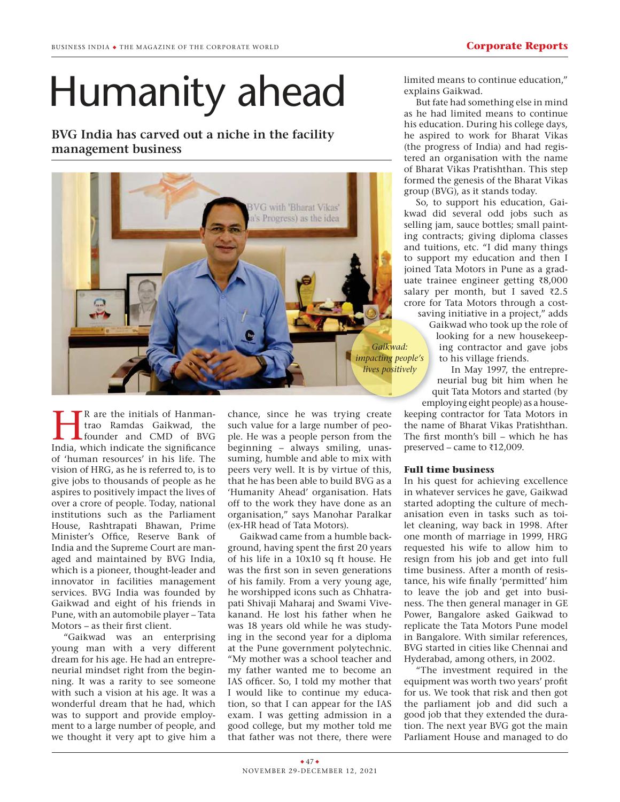## Humanity ahead

**BVG India has carved out a niche in the facility management business**



**EXECUTE:** R are the initials of Hanman-<br>trao Ramdas Gaikwad, the<br>founder and CMD of BVG<br>India, which indicate the significance R are the initials of Hanmantrao Ramdas Gaikwad, the founder and CMD of BVG of 'human resources' in his life. The vision of HRG, as he is referred to, is to give jobs to thousands of people as he aspires to positively impact the lives of over a crore of people. Today, national institutions such as the Parliament House, Rashtrapati Bhawan, Prime Minister's Office, Reserve Bank of India and the Supreme Court are managed and maintained by BVG India, which is a pioneer, thought-leader and innovator in facilities management services. BVG India was founded by Gaikwad and eight of his friends in Pune, with an automobile player – Tata Motors – as their first client.

"Gaikwad was an enterprising young man with a very different dream for his age. He had an entrepreneurial mindset right from the beginning. It was a rarity to see someone with such a vision at his age. It was a wonderful dream that he had, which was to support and provide employment to a large number of people, and we thought it very apt to give him a chance, since he was trying create such value for a large number of people. He was a people person from the beginning – always smiling, unassuming, humble and able to mix with peers very well. It is by virtue of this, that he has been able to build BVG as a 'Humanity Ahead' organisation. Hats off to the work they have done as an organisation," says Manohar Paralkar (ex-HR head of Tata Motors).

Gaikwad came from a humble background, having spent the first 20 years of his life in a 10x10 sq ft house. He was the first son in seven generations of his family. From a very young age, he worshipped icons such as Chhatrapati Shivaji Maharaj and Swami Vivekanand. He lost his father when he was 18 years old while he was studying in the second year for a diploma at the Pune government polytechnic. "My mother was a school teacher and my father wanted me to become an IAS officer. So, I told my mother that I would like to continue my education, so that I can appear for the IAS exam. I was getting admission in a good college, but my mother told me that father was not there, there were limited means to continue education," explains Gaikwad.

But fate had something else in mind as he had limited means to continue his education. During his college days, he aspired to work for Bharat Vikas (the progress of India) and had registered an organisation with the name of Bharat Vikas Pratishthan. This step formed the genesis of the Bharat Vikas group (BVG), as it stands today.

So, to support his education, Gaikwad did several odd jobs such as selling jam, sauce bottles; small painting contracts; giving diploma classes and tuitions, etc. "I did many things to support my education and then I joined Tata Motors in Pune as a graduate trainee engineer getting  $\bar{\tau}8,000$ salary per month, but I saved  $\bar{\tau}2.5$ crore for Tata Motors through a cost-

saving initiative in a project," adds saving Gaikwad who took up the role of Ga looking for a new housekeep-lo ing contractor and gave jobs to his village friends.

In May 1997, the entrepreneurial bug bit him when he quit Tata Motors and started (by qu

employing eight people) as a house-empl keeping contractor for Tata Motors in the name of Bharat Vikas Pratishthan. The first month's bill – which he has preserved – came to  $\bar{\tau}$ 12,009.

## **Full time business**

In his quest for achieving excellence in whatever services he gave, Gaikwad started adopting the culture of mechanisation even in tasks such as toilet cleaning, way back in 1998. After one month of marriage in 1999, HRG requested his wife to allow him to resign from his job and get into full time business. After a month of resistance, his wife finally 'permitted' him to leave the job and get into business. The then general manager in GE Power, Bangalore asked Gaikwad to replicate the Tata Motors Pune model in Bangalore. With similar references, BVG started in cities like Chennai and Hyderabad, among others, in 2002.

"The investment required in the equipment was worth two years' profit for us. We took that risk and then got the parliament job and did such a good job that they extended the duration. The next year BVG got the main Parliament House and managed to do